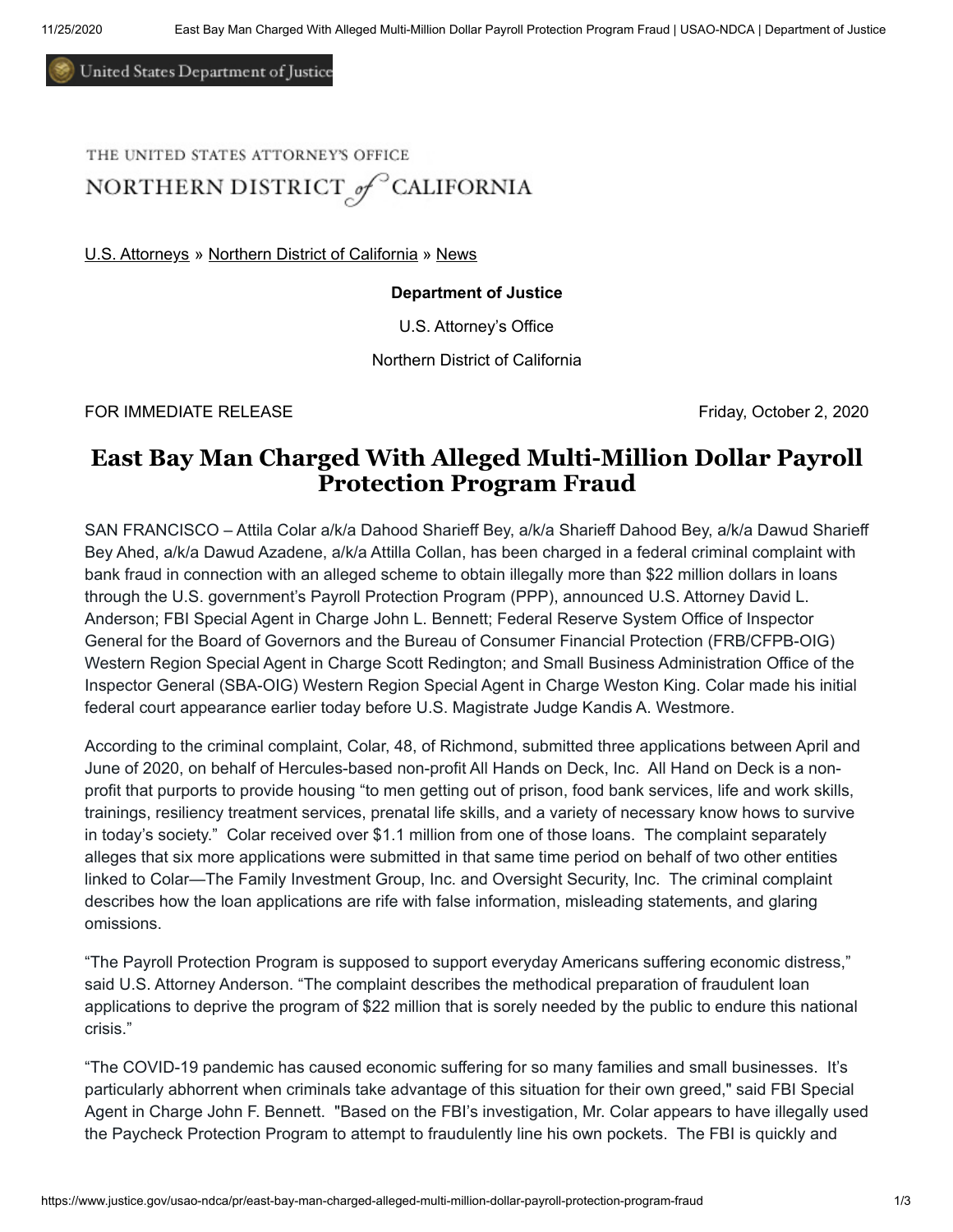United States Department of Justice

THE UNITED STATES ATTORNEY'S OFFICE

NORTHERN DISTRICT of CALIFORNIA

[U.S. Attorneys](https://www.justice.gov/usao) » [Northern District of California](https://www.justice.gov/usao-ndca) » [News](https://www.justice.gov/usao-ndca/pr)

## **Department of Justice**

U.S. Attorney's Office

Northern District of California

FOR IMMEDIATE RELEASE Friday, October 2, 2020

## **East Bay Man Charged With Alleged Multi-Million Dollar Payroll Protection Program Fraud**

SAN FRANCISCO – Attila Colar a/k/a Dahood Sharieff Bey, a/k/a Sharieff Dahood Bey, a/k/a Dawud Sharieff Bey Ahed, a/k/a Dawud Azadene, a/k/a Attilla Collan, has been charged in a federal criminal complaint with bank fraud in connection with an alleged scheme to obtain illegally more than \$22 million dollars in loans through the U.S. government's Payroll Protection Program (PPP), announced U.S. Attorney David L. Anderson; FBI Special Agent in Charge John L. Bennett; Federal Reserve System Office of Inspector General for the Board of Governors and the Bureau of Consumer Financial Protection (FRB/CFPB-OIG) Western Region Special Agent in Charge Scott Redington; and Small Business Administration Office of the Inspector General (SBA-OIG) Western Region Special Agent in Charge Weston King. Colar made his initial federal court appearance earlier today before U.S. Magistrate Judge Kandis A. Westmore.

According to the criminal complaint, Colar, 48, of Richmond, submitted three applications between April and June of 2020, on behalf of Hercules-based non-profit All Hands on Deck, Inc. All Hand on Deck is a nonprofit that purports to provide housing "to men getting out of prison, food bank services, life and work skills, trainings, resiliency treatment services, prenatal life skills, and a variety of necessary know hows to survive in today's society." Colar received over \$1.1 million from one of those loans. The complaint separately alleges that six more applications were submitted in that same time period on behalf of two other entities linked to Colar—The Family Investment Group, Inc. and Oversight Security, Inc. The criminal complaint describes how the loan applications are rife with false information, misleading statements, and glaring omissions.

"The Payroll Protection Program is supposed to support everyday Americans suffering economic distress," said U.S. Attorney Anderson. "The complaint describes the methodical preparation of fraudulent loan applications to deprive the program of \$22 million that is sorely needed by the public to endure this national crisis."

"The COVID-19 pandemic has caused economic suffering for so many families and small businesses. It's particularly abhorrent when criminals take advantage of this situation for their own greed," said FBI Special Agent in Charge John F. Bennett. "Based on the FBI's investigation, Mr. Colar appears to have illegally used the Paycheck Protection Program to attempt to fraudulently line his own pockets. The FBI is quickly and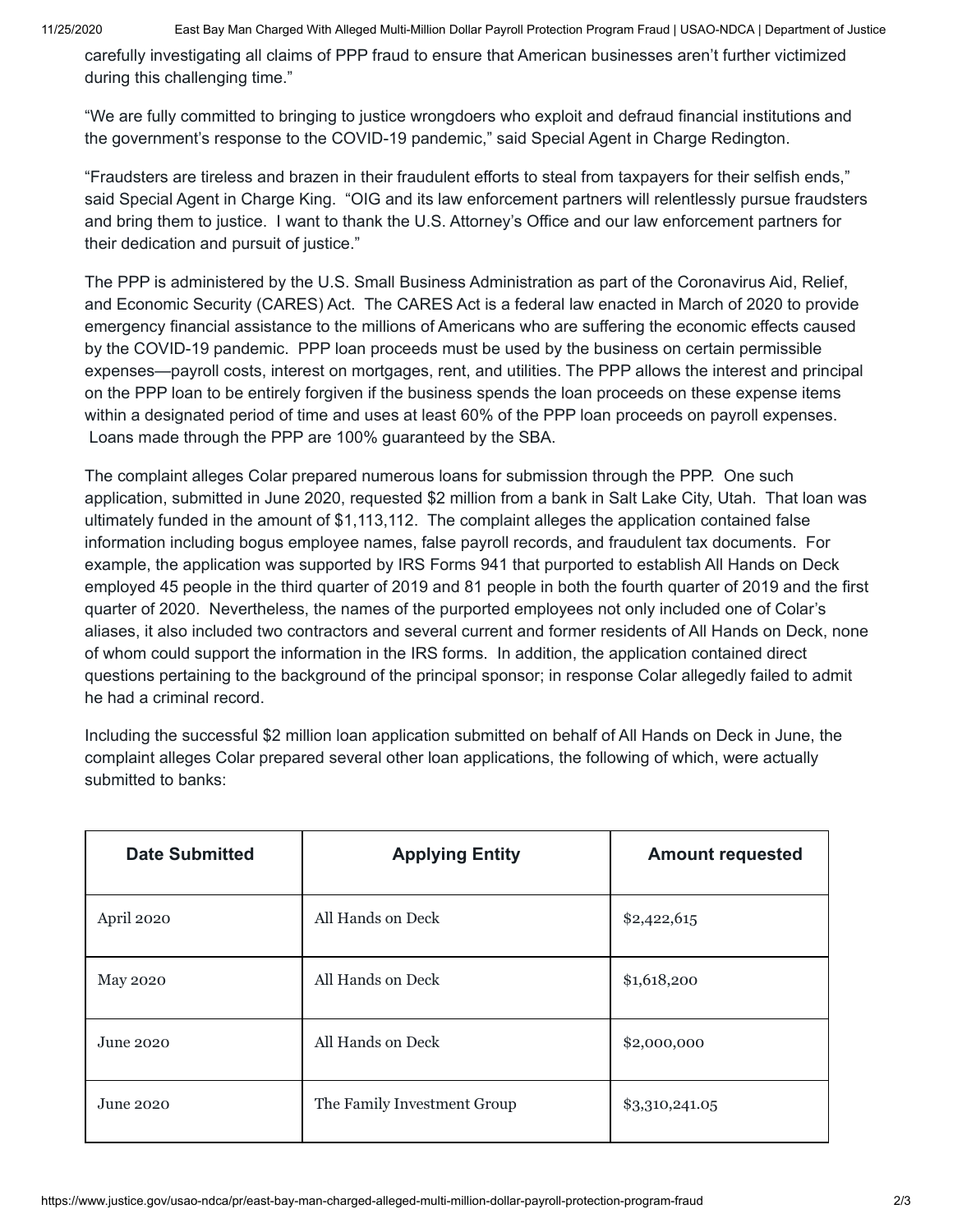11/25/2020 East Bay Man Charged With Alleged Multi-Million Dollar Payroll Protection Program Fraud | USAO-NDCA | Department of Justice

carefully investigating all claims of PPP fraud to ensure that American businesses aren't further victimized during this challenging time."

"We are fully committed to bringing to justice wrongdoers who exploit and defraud financial institutions and the government's response to the COVID-19 pandemic," said Special Agent in Charge Redington.

"Fraudsters are tireless and brazen in their fraudulent efforts to steal from taxpayers for their selfish ends," said Special Agent in Charge King. "OIG and its law enforcement partners will relentlessly pursue fraudsters and bring them to justice. I want to thank the U.S. Attorney's Office and our law enforcement partners for their dedication and pursuit of justice."

The PPP is administered by the U.S. Small Business Administration as part of the Coronavirus Aid, Relief, and Economic Security (CARES) Act. The CARES Act is a federal law enacted in March of 2020 to provide emergency financial assistance to the millions of Americans who are suffering the economic effects caused by the COVID-19 pandemic. PPP loan proceeds must be used by the business on certain permissible expenses—payroll costs, interest on mortgages, rent, and utilities. The PPP allows the interest and principal on the PPP loan to be entirely forgiven if the business spends the loan proceeds on these expense items within a designated period of time and uses at least 60% of the PPP loan proceeds on payroll expenses. Loans made through the PPP are 100% guaranteed by the SBA.

The complaint alleges Colar prepared numerous loans for submission through the PPP. One such application, submitted in June 2020, requested \$2 million from a bank in Salt Lake City, Utah. That loan was ultimately funded in the amount of \$1,113,112. The complaint alleges the application contained false information including bogus employee names, false payroll records, and fraudulent tax documents. For example, the application was supported by IRS Forms 941 that purported to establish All Hands on Deck employed 45 people in the third quarter of 2019 and 81 people in both the fourth quarter of 2019 and the first quarter of 2020. Nevertheless, the names of the purported employees not only included one of Colar's aliases, it also included two contractors and several current and former residents of All Hands on Deck, none of whom could support the information in the IRS forms. In addition, the application contained direct questions pertaining to the background of the principal sponsor; in response Colar allegedly failed to admit he had a criminal record.

Including the successful \$2 million loan application submitted on behalf of All Hands on Deck in June, the complaint alleges Colar prepared several other loan applications, the following of which, were actually submitted to banks:

| <b>Date Submitted</b> | <b>Applying Entity</b>      | <b>Amount requested</b> |
|-----------------------|-----------------------------|-------------------------|
| April 2020            | All Hands on Deck           | \$2,422,615             |
| <b>May 2020</b>       | All Hands on Deck           | \$1,618,200             |
| June 2020             | All Hands on Deck           | \$2,000,000             |
| June 2020             | The Family Investment Group | \$3,310,241.05          |